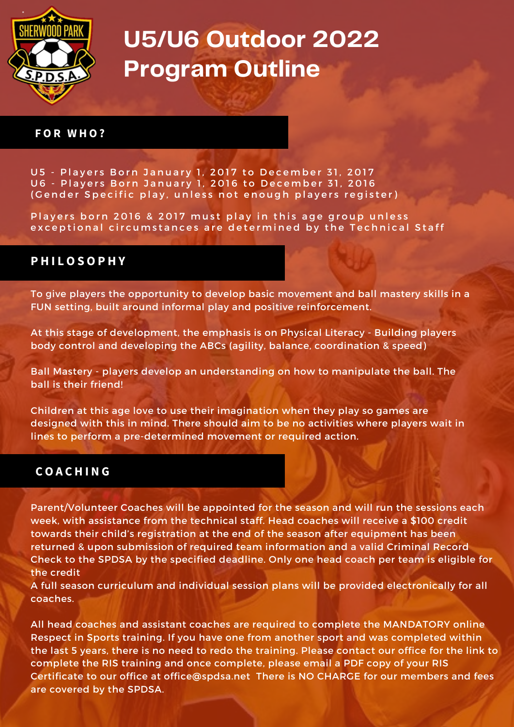

## **U5/U6 Outdoor 2022 Program Outline**

#### **F O R W H O ?**

U5 - Players Born January 1, 2017 to December 31, 2017 U6 - Players Born January 1, 2016 to December 31, 2016 (Gender Specific play, unless not enough players register)

Players born 2016 & 2017 must play in this age group unless exceptional circumstances are determined by the Technical Staff

#### **P H I L O S O P H Y**

To give players the opportunity to develop basic movement and ball mastery skills in a FUN setting, built around informal play and positive reinforcement.

At this stage of development, the emphasis is on Physical Literacy - Building players body control and developing the ABCs (agility, balance, coordination & speed)

Ball Mastery - players develop an understanding on how to manipulate the ball. The ball is their friend!

Children at this age love to use their imagination when they play so games are designed with this in mind. There should aim to be no activities where players wait in lines to perform a pre-determined movement or required action.

### **C O A C H I N G**

Parent/Volunteer Coaches will be appointed for the season and will run the sessions each week, with assistance from the technical staff. Head coaches will receive a \$100 credit towards their child's registration at the end of the season after equipment has been returned & upon submission of required team information and a valid Criminal Record Check to the SPDSA by the specified deadline. Only one head coach per team is eligible for the credit

A full season curriculum and individual session plans will be provided electronically for all coaches.

All head coaches and assistant coaches are required to complete the MANDATORY online Respect in Sports training. If you have one from another sport and was completed within the last 5 years, there is no need to redo the training. Please contact our office for the link to complete the RIS training and once complete, please email a PDF copy of your RIS Certificate to our office at [office@spdsa.net](mailto:office@spdsa.net) There is NO CHARGE for our members and fees are covered by the SPDSA.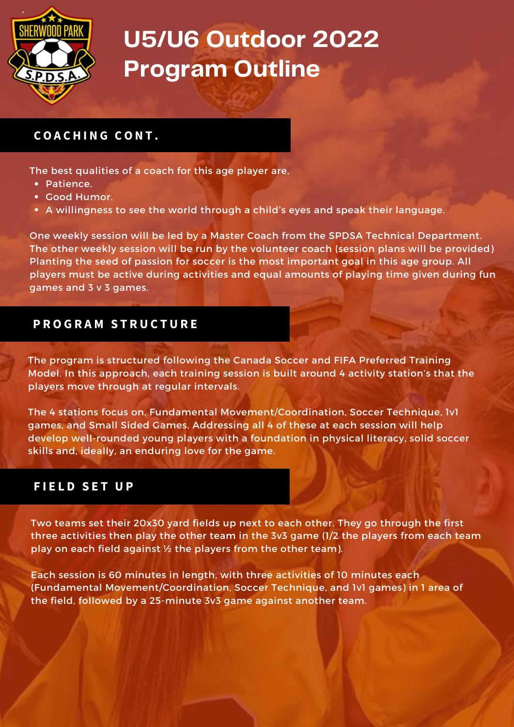

# **U5/U6 Outdoor 2022 Program Outline**

## **C O A C H I N G C O N T .**

The best qualities of a coach for this age player are,

- Patience.
- Good Humor.
- A willingness to see the world through a child's eyes and speak their language.

One weekly session will be led by a Master Coach from the SPDSA Technical Department. The other weekly session will be run by the volunteer coach (session plans will be provided) Planting the seed of passion for soccer is the most important goal in this age group. All players must be active during activities and equal amounts of playing time given during fun games and 3 v 3 games.

### **P R O G R A M S T R U C T U R E**

The program is structured following the Canada Soccer and FIFA Preferred Training Model. In this approach, each training session is built around 4 activity station's that the players move through at regular intervals.

The 4 stations focus on, Fundamental Movement/Coordination, Soccer Technique, 1v1 games, and Small Sided Games. Addressing all 4 of these at each session will help develop well-rounded young players with a foundation in physical literacy, solid soccer skills and, ideally, an enduring love for the game.

## $F$ **IELD SET UP**

Two teams set their 20x30 yard fields up next to each other. They go through the first three activities then play the other team in the 3v3 game (1/2 the players from each team play on each field against ½ the players from the other team).

Each session is 60 minutes in length, with three activities of 10 minutes each (Fundamental Movement/Coordination, Soccer Technique, and 1v1 games) in 1 area of the field, followed by a 25-minute 3v3 game against another team.